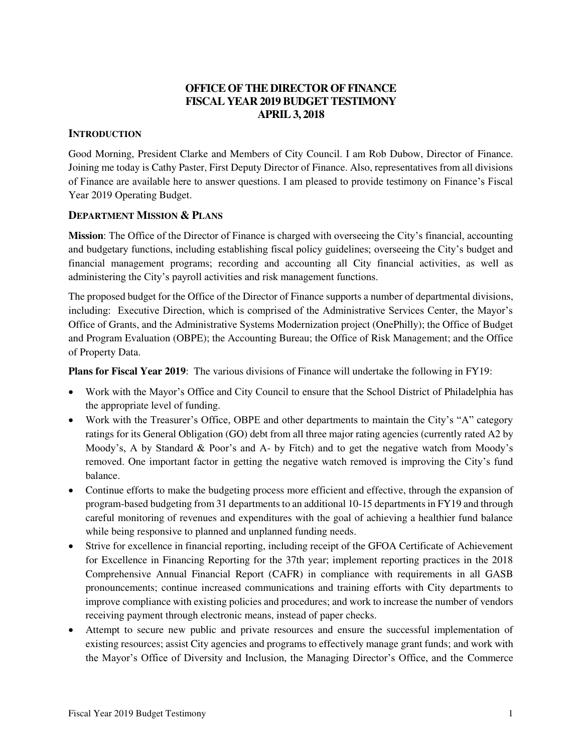# **OFFICE OF THE DIRECTOR OF FINANCE FISCAL YEAR 2019 BUDGET TESTIMONY APRIL 3, 2018**

## **INTRODUCTION**

Good Morning, President Clarke and Members of City Council. I am Rob Dubow, Director of Finance. Joining me today is Cathy Paster, First Deputy Director of Finance. Also, representatives from all divisions of Finance are available here to answer questions. I am pleased to provide testimony on Finance's Fiscal Year 2019 Operating Budget.

## **DEPARTMENT MISSION & PLANS**

**Mission**: The Office of the Director of Finance is charged with overseeing the City's financial, accounting and budgetary functions, including establishing fiscal policy guidelines; overseeing the City's budget and financial management programs; recording and accounting all City financial activities, as well as administering the City's payroll activities and risk management functions.

The proposed budget for the Office of the Director of Finance supports a number of departmental divisions, including: Executive Direction, which is comprised of the Administrative Services Center, the Mayor's Office of Grants, and the Administrative Systems Modernization project (OnePhilly); the Office of Budget and Program Evaluation (OBPE); the Accounting Bureau; the Office of Risk Management; and the Office of Property Data.

**Plans for Fiscal Year 2019**: The various divisions of Finance will undertake the following in FY19:

- Work with the Mayor's Office and City Council to ensure that the School District of Philadelphia has the appropriate level of funding.
- Work with the Treasurer's Office, OBPE and other departments to maintain the City's "A" category ratings for its General Obligation (GO) debt from all three major rating agencies (currently rated A2 by Moody's, A by Standard & Poor's and A- by Fitch) and to get the negative watch from Moody's removed. One important factor in getting the negative watch removed is improving the City's fund balance.
- Continue efforts to make the budgeting process more efficient and effective, through the expansion of program-based budgeting from 31 departments to an additional 10-15 departments in FY19 and through careful monitoring of revenues and expenditures with the goal of achieving a healthier fund balance while being responsive to planned and unplanned funding needs.
- Strive for excellence in financial reporting, including receipt of the GFOA Certificate of Achievement for Excellence in Financing Reporting for the 37th year; implement reporting practices in the 2018 Comprehensive Annual Financial Report (CAFR) in compliance with requirements in all GASB pronouncements; continue increased communications and training efforts with City departments to improve compliance with existing policies and procedures; and work to increase the number of vendors receiving payment through electronic means, instead of paper checks.
- Attempt to secure new public and private resources and ensure the successful implementation of existing resources; assist City agencies and programs to effectively manage grant funds; and work with the Mayor's Office of Diversity and Inclusion, the Managing Director's Office, and the Commerce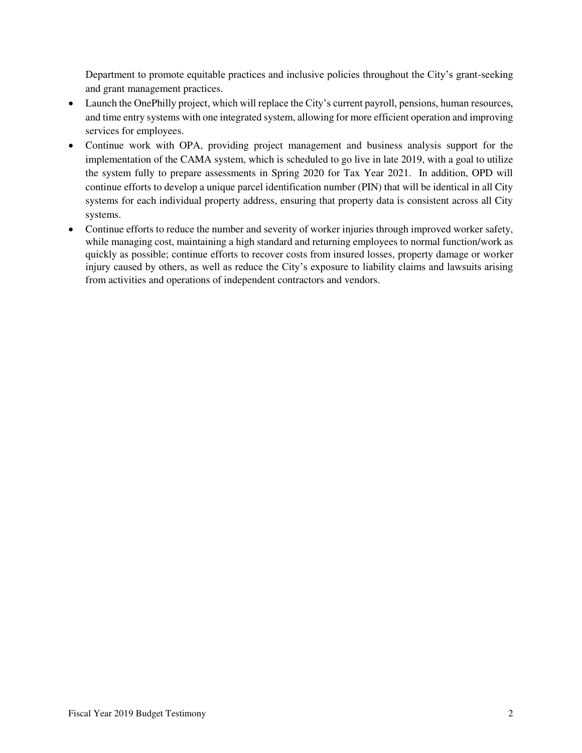Department to promote equitable practices and inclusive policies throughout the City's grant-seeking and grant management practices.

- Launch the OnePhilly project, which will replace the City's current payroll, pensions, human resources, and time entry systems with one integrated system, allowing for more efficient operation and improving services for employees.
- Continue work with OPA, providing project management and business analysis support for the implementation of the CAMA system, which is scheduled to go live in late 2019, with a goal to utilize the system fully to prepare assessments in Spring 2020 for Tax Year 2021. In addition, OPD will continue efforts to develop a unique parcel identification number (PIN) that will be identical in all City systems for each individual property address, ensuring that property data is consistent across all City systems.
- Continue efforts to reduce the number and severity of worker injuries through improved worker safety, while managing cost, maintaining a high standard and returning employees to normal function/work as quickly as possible; continue efforts to recover costs from insured losses, property damage or worker injury caused by others, as well as reduce the City's exposure to liability claims and lawsuits arising from activities and operations of independent contractors and vendors.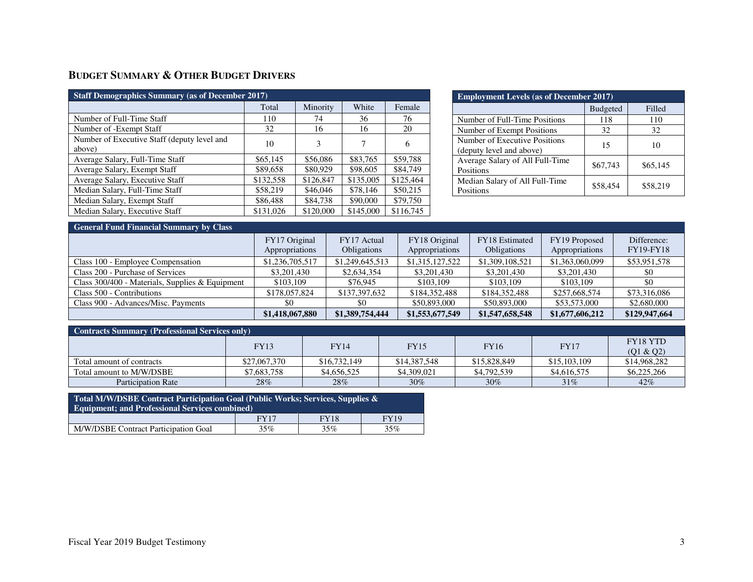# **BUDGET SUMMARY & OTHER BUDGET DRIVERS**

| <b>Staff Demographics Summary (as of December 2017)</b> |           |           |           |           |  |  |  |  |  |
|---------------------------------------------------------|-----------|-----------|-----------|-----------|--|--|--|--|--|
|                                                         | Total     | Minority  | White     | Female    |  |  |  |  |  |
| Number of Full-Time Staff                               | 110       | 74        | 36        | 76        |  |  |  |  |  |
| Number of -Exempt Staff                                 | 32        | 16        | 16        | 20        |  |  |  |  |  |
| Number of Executive Staff (deputy level and<br>above)   | 10        | 3         | 7         | 6         |  |  |  |  |  |
| Average Salary, Full-Time Staff                         | \$65,145  | \$56,086  | \$83,765  | \$59,788  |  |  |  |  |  |
| Average Salary, Exempt Staff                            | \$89,658  | \$80,929  | \$98,605  | \$84,749  |  |  |  |  |  |
| Average Salary, Executive Staff                         | \$132,558 | \$126,847 | \$135,005 | \$125,464 |  |  |  |  |  |
| Median Salary, Full-Time Staff                          | \$58,219  | \$46,046  | \$78,146  | \$50,215  |  |  |  |  |  |
| Median Salary, Exempt Staff                             | \$86,488  | \$84,738  | \$90,000  | \$79,750  |  |  |  |  |  |
| Median Salary, Executive Staff                          | \$131,026 | \$120,000 | \$145,000 | \$116,745 |  |  |  |  |  |

| <b>Employment Levels (as of December 2017)</b>            |                 |          |  |  |  |  |  |  |
|-----------------------------------------------------------|-----------------|----------|--|--|--|--|--|--|
|                                                           | <b>Budgeted</b> | Filled   |  |  |  |  |  |  |
| Number of Full-Time Positions                             | 118             | 110      |  |  |  |  |  |  |
| Number of Exempt Positions                                | 32              | 32       |  |  |  |  |  |  |
| Number of Executive Positions<br>(deputy level and above) | 15              | 10       |  |  |  |  |  |  |
| Average Salary of All Full-Time<br>Positions              | \$67,743        | \$65,145 |  |  |  |  |  |  |
| Median Salary of All Full-Time<br>Positions               | \$58,454        | \$58,219 |  |  |  |  |  |  |

| <b>General Fund Financial Summary by Class</b>  |                 |                 |                 |                    |                 |                  |  |  |  |
|-------------------------------------------------|-----------------|-----------------|-----------------|--------------------|-----------------|------------------|--|--|--|
|                                                 | FY17 Original   | FY17 Actual     | FY18 Original   | FY18 Estimated     | FY19 Proposed   | Difference:      |  |  |  |
|                                                 | Appropriations  | Obligations     | Appropriations  | <b>Obligations</b> | Appropriations  | <b>FY19-FY18</b> |  |  |  |
| Class 100 - Employee Compensation               | \$1,236,705,517 | \$1,249,645,513 | \$1,315,127,522 | \$1,309,108,521    | \$1,363,060,099 | \$53,951,578     |  |  |  |
| Class 200 - Purchase of Services                | \$3,201,430     | \$2,634,354     | \$3,201,430     | \$3,201,430        | \$3,201,430     | \$0              |  |  |  |
| Class 300/400 - Materials, Supplies & Equipment | \$103,109       | \$76,945        | \$103,109       | \$103,109          | \$103,109       | \$0              |  |  |  |
| Class 500 - Contributions                       | \$178,057,824   | \$137,397,632   | \$184,352,488   | \$184,352,488      | \$257,668,574   | \$73,316,086     |  |  |  |
| Class 900 - Advances/Misc. Payments             | \$0             | \$0             | \$50,893,000    | \$50,893,000       | \$53,573,000    | \$2,680,000      |  |  |  |
|                                                 | \$1,418,067,880 | \$1,389,754,444 | \$1,553,677,549 | \$1,547,658,548    | \$1,677,606,212 | \$129,947,664    |  |  |  |

| <b>Contracts Summary (Professional Services only)</b> |                                                                         |              |              |                              |              |              |  |  |  |
|-------------------------------------------------------|-------------------------------------------------------------------------|--------------|--------------|------------------------------|--------------|--------------|--|--|--|
|                                                       | <b>FY14</b><br><b>FY16</b><br><b>FY17</b><br><b>FY13</b><br><b>FY15</b> |              |              | <b>FY18 YTD</b><br>(Q1 & Q2) |              |              |  |  |  |
| Total amount of contracts                             | \$27,067,370                                                            | \$16,732,149 | \$14,387,548 | \$15,828,849                 | \$15,103,109 | \$14,968,282 |  |  |  |
| Total amount to M/W/DSBE                              | \$7,683,758                                                             | \$4,656,525  | \$4,309,021  | \$4,792,539                  | \$4,616,575  | \$6,225,266  |  |  |  |
| <b>Participation Rate</b>                             | 28%                                                                     | 28%          | 30%          | 30%                          | 31%          | 42%          |  |  |  |

| Total M/W/DSBE Contract Participation Goal (Public Works; Services, Supplies $\&$<br><b>Equipment: and Professional Services combined)</b> |      |             |             |  |  |  |  |
|--------------------------------------------------------------------------------------------------------------------------------------------|------|-------------|-------------|--|--|--|--|
|                                                                                                                                            | FY17 | <b>FY18</b> | <b>FY19</b> |  |  |  |  |
| M/W/DSBE Contract Participation Goal                                                                                                       | 35%  | 35%         | 35%         |  |  |  |  |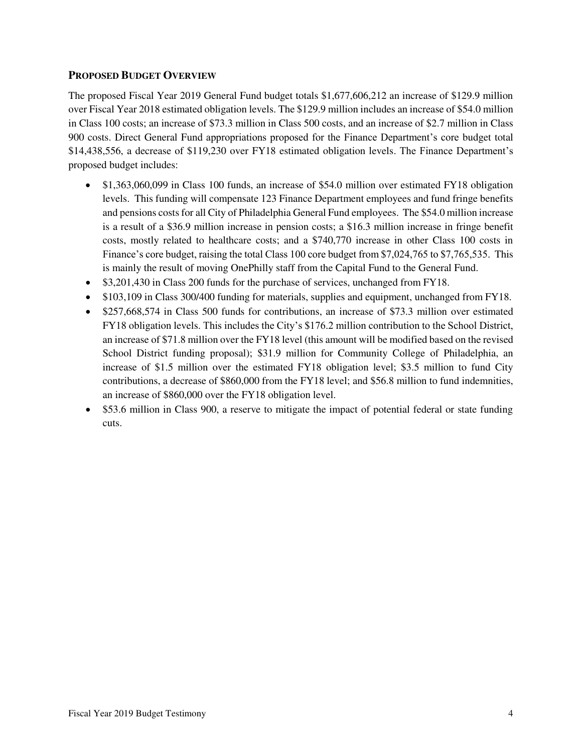## **PROPOSED BUDGET OVERVIEW**

The proposed Fiscal Year 2019 General Fund budget totals \$1,677,606,212 an increase of \$129.9 million over Fiscal Year 2018 estimated obligation levels. The \$129.9 million includes an increase of \$54.0 million in Class 100 costs; an increase of \$73.3 million in Class 500 costs, and an increase of \$2.7 million in Class 900 costs. Direct General Fund appropriations proposed for the Finance Department's core budget total \$14,438,556, a decrease of \$119,230 over FY18 estimated obligation levels. The Finance Department's proposed budget includes:

- \$1,363,060,099 in Class 100 funds, an increase of \$54.0 million over estimated FY18 obligation levels. This funding will compensate 123 Finance Department employees and fund fringe benefits and pensions costs for all City of Philadelphia General Fund employees. The \$54.0 million increase is a result of a \$36.9 million increase in pension costs; a \$16.3 million increase in fringe benefit costs, mostly related to healthcare costs; and a \$740,770 increase in other Class 100 costs in Finance's core budget, raising the total Class 100 core budget from \$7,024,765 to \$7,765,535. This is mainly the result of moving OnePhilly staff from the Capital Fund to the General Fund.
- \$3,201,430 in Class 200 funds for the purchase of services, unchanged from FY18.
- \$103,109 in Class 300/400 funding for materials, supplies and equipment, unchanged from FY18.
- \$257,668,574 in Class 500 funds for contributions, an increase of \$73.3 million over estimated FY18 obligation levels. This includes the City's \$176.2 million contribution to the School District, an increase of \$71.8 million over the FY18 level (this amount will be modified based on the revised School District funding proposal); \$31.9 million for Community College of Philadelphia, an increase of \$1.5 million over the estimated FY18 obligation level; \$3.5 million to fund City contributions, a decrease of \$860,000 from the FY18 level; and \$56.8 million to fund indemnities, an increase of \$860,000 over the FY18 obligation level.
- \$53.6 million in Class 900, a reserve to mitigate the impact of potential federal or state funding cuts.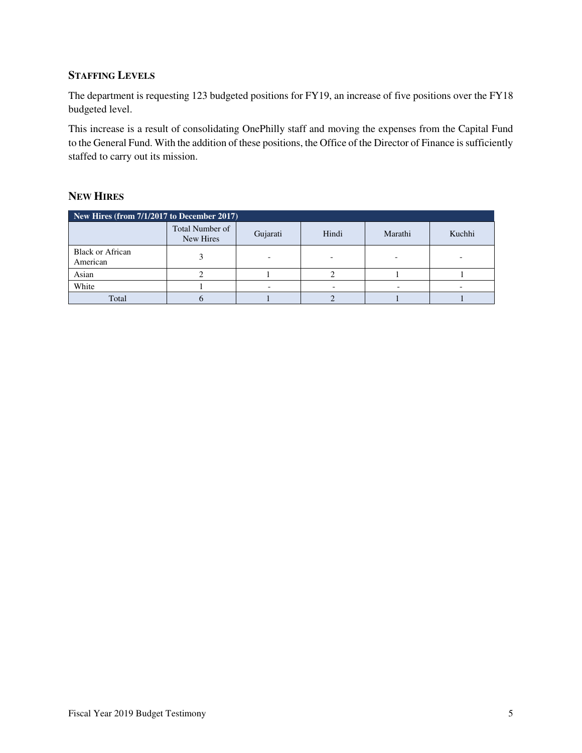# **STAFFING LEVELS**

The department is requesting 123 budgeted positions for FY19, an increase of five positions over the FY18 budgeted level.

This increase is a result of consolidating OnePhilly staff and moving the expenses from the Capital Fund to the General Fund. With the addition of these positions, the Office of the Director of Finance is sufficiently staffed to carry out its mission.

## **NEW HIRES**

| New Hires (from 7/1/2017 to December 2017) |                              |          |       |         |        |  |  |  |  |
|--------------------------------------------|------------------------------|----------|-------|---------|--------|--|--|--|--|
|                                            | Total Number of<br>New Hires | Gujarati | Hindi | Marathi | Kuchhi |  |  |  |  |
| <b>Black or African</b><br>American        |                              |          |       |         |        |  |  |  |  |
| Asian                                      |                              |          |       |         |        |  |  |  |  |
| White                                      |                              |          |       |         |        |  |  |  |  |
| Total                                      |                              |          |       |         |        |  |  |  |  |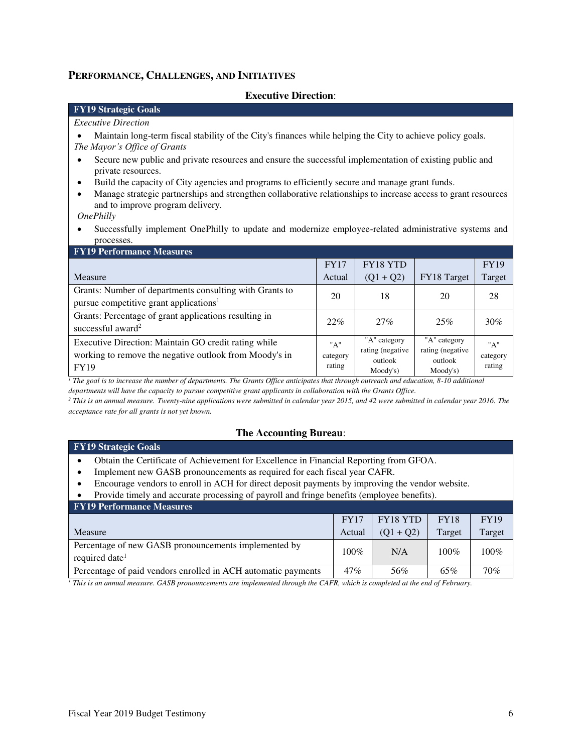### **PERFORMANCE, CHALLENGES, AND INITIATIVES**

#### **Executive Direction**:

### **FY19 Strategic Goals**

#### *Executive Direction*

• Maintain long-term fiscal stability of the City's finances while helping the City to achieve policy goals. *The Mayor's Office of Grants*

- Secure new public and private resources and ensure the successful implementation of existing public and private resources.
- Build the capacity of City agencies and programs to efficiently secure and manage grant funds.
- Manage strategic partnerships and strengthen collaborative relationships to increase access to grant resources and to improve program delivery.

*OnePhilly*

• Successfully implement OnePhilly to update and modernize employee-related administrative systems and processes.

| <b>FY19 Performance Measures</b>                                                                                              |                           |                                                         |                                                         |                           |
|-------------------------------------------------------------------------------------------------------------------------------|---------------------------|---------------------------------------------------------|---------------------------------------------------------|---------------------------|
|                                                                                                                               | <b>FY17</b>               | FY18 YTD                                                |                                                         | <b>FY19</b>               |
| Measure                                                                                                                       | Actual                    | $(Q1 + Q2)$                                             | FY18 Target                                             | Target                    |
| Grants: Number of departments consulting with Grants to<br>pursue competitive grant applications <sup>1</sup>                 | 20                        | 18                                                      | 20                                                      | 28                        |
| Grants: Percentage of grant applications resulting in<br>successful award <sup>2</sup>                                        | 22%                       | 27%                                                     | 25%                                                     | 30%                       |
| Executive Direction: Maintain GO credit rating while<br>working to remove the negative outlook from Moody's in<br><b>FY19</b> | "A"<br>category<br>rating | "A" category<br>rating (negative<br>outlook<br>Moody's) | "A" category<br>rating (negative<br>outlook<br>Moody's) | "A"<br>category<br>rating |

<sup>1</sup> The goal is to increase the number of departments. The Grants Office anticipates that through outreach and education, 8-10 additional

*departments will have the capacity to pursue competitive grant applicants in collaboration with the Grants Office.* 

*2 This is an annual measure. Twenty-nine applications were submitted in calendar year 2015, and 42 were submitted in calendar year 2016. The acceptance rate for all grants is not yet known.*

#### **The Accounting Bureau**:

#### **FY19 Strategic Goals**

- Obtain the Certificate of Achievement for Excellence in Financial Reporting from GFOA.
- Implement new GASB pronouncements as required for each fiscal year CAFR.
- Encourage vendors to enroll in ACH for direct deposit payments by improving the vendor website.
- Provide timely and accurate processing of payroll and fringe benefits (employee benefits).

| <b>FY19 Performance Measures</b>                                                   |             |                 |             |             |
|------------------------------------------------------------------------------------|-------------|-----------------|-------------|-------------|
|                                                                                    | <b>FY17</b> | <b>FY18 YTD</b> | <b>FY18</b> | <b>FY19</b> |
| <b>Measure</b>                                                                     | Actual      | $(01 + 02)$     | Target      | Target      |
| Percentage of new GASB pronouncements implemented by<br>required date <sup>1</sup> | $100\%$     | N/A             | $100\%$     | $100\%$     |
| Percentage of paid vendors enrolled in ACH automatic payments                      | $47\%$      | 56%             | 65%         | 70%         |

*1 This is an annual measure. GASB pronouncements are implemented through the CAFR, which is completed at the end of February.*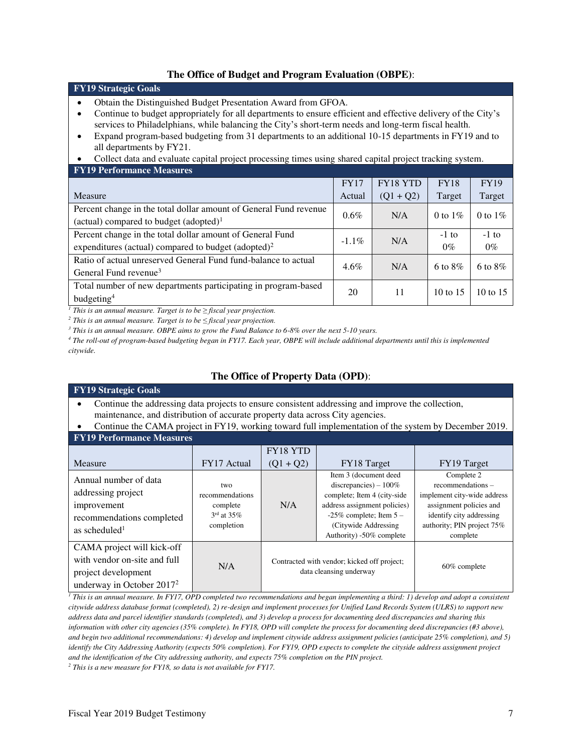### **The Office of Budget and Program Evaluation (OBPE)**:

| <b>FY19 Strategic Goals</b>                                                                                                                                                                                                                                                                                                                                                                                                                                                                                                            |             |             |                  |                  |  |  |  |  |
|----------------------------------------------------------------------------------------------------------------------------------------------------------------------------------------------------------------------------------------------------------------------------------------------------------------------------------------------------------------------------------------------------------------------------------------------------------------------------------------------------------------------------------------|-------------|-------------|------------------|------------------|--|--|--|--|
| Obtain the Distinguished Budget Presentation Award from GFOA.<br>Continue to budget appropriately for all departments to ensure efficient and effective delivery of the City's<br>services to Philadelphians, while balancing the City's short-term needs and long-term fiscal health.<br>Expand program-based budgeting from 31 departments to an additional 10-15 departments in FY19 and to<br>all departments by FY21.<br>Collect data and evaluate capital project processing times using shared capital project tracking system. |             |             |                  |                  |  |  |  |  |
| <b>FY19 Performance Measures</b>                                                                                                                                                                                                                                                                                                                                                                                                                                                                                                       |             |             |                  |                  |  |  |  |  |
|                                                                                                                                                                                                                                                                                                                                                                                                                                                                                                                                        | <b>FY17</b> | FY18 YTD    | <b>FY18</b>      | <b>FY19</b>      |  |  |  |  |
| Measure                                                                                                                                                                                                                                                                                                                                                                                                                                                                                                                                | Actual      | $(Q1 + Q2)$ | Target           | Target           |  |  |  |  |
| Percent change in the total dollar amount of General Fund revenue<br>(actual) compared to budget $(adopted)^1$                                                                                                                                                                                                                                                                                                                                                                                                                         | $0.6\%$     | N/A         | 0 to $1\%$       | 0 to $1\%$       |  |  |  |  |
| Percent change in the total dollar amount of General Fund<br>expenditures (actual) compared to budget (adopted) <sup>2</sup>                                                                                                                                                                                                                                                                                                                                                                                                           | $-1.1\%$    | N/A         | $-1$ to<br>$0\%$ | $-1$ to<br>$0\%$ |  |  |  |  |
| Ratio of actual unreserved General Fund fund-balance to actual<br>General Fund revenue <sup>3</sup>                                                                                                                                                                                                                                                                                                                                                                                                                                    | $4.6\%$     | N/A         | 6 to $8\%$       | 6 to $8\%$       |  |  |  |  |
| Total number of new departments participating in program-based<br>budgeting <sup>4</sup>                                                                                                                                                                                                                                                                                                                                                                                                                                               | 20          | 11          | $10$ to $15$     | 10 to $15$       |  |  |  |  |

<sup>1</sup> *This is an annual measure. Target is to be*  $\ge$  *fiscal year projection.* 

*<sup>2</sup> This is an annual measure. Target is to be ≤ fiscal year projection.*

<sup>3</sup> This is an annual measure. OBPE aims to grow the Fund Balance to 6-8% over the next 5-10 years.

*4 The roll-out of program-based budgeting began in FY17. Each year, OBPE will include additional departments until this is implemented citywide.* 

# **The Office of Property Data (OPD)**:

#### **FY19 Strategic Goals**

• Continue the addressing data projects to ensure consistent addressing and improve the collection, maintenance, and distribution of accurate property data across City agencies.

#### • Continue the CAMA project in FY19, working toward full implementation of the system by December 2019.

| <b>FY19 Performance Measures</b>                                                                                     |                                                                     |             |                                                                                                                                                                                                    |                                                                                                                                                                |  |  |  |  |  |
|----------------------------------------------------------------------------------------------------------------------|---------------------------------------------------------------------|-------------|----------------------------------------------------------------------------------------------------------------------------------------------------------------------------------------------------|----------------------------------------------------------------------------------------------------------------------------------------------------------------|--|--|--|--|--|
|                                                                                                                      |                                                                     | FY18 YTD    |                                                                                                                                                                                                    |                                                                                                                                                                |  |  |  |  |  |
| Measure                                                                                                              | FY17 Actual                                                         | $(Q1 + Q2)$ | FY18 Target                                                                                                                                                                                        | FY19 Target                                                                                                                                                    |  |  |  |  |  |
| Annual number of data<br>addressing project<br>improvement<br>recommendations completed<br>as scheduled <sup>1</sup> | two<br>recommendations<br>complete<br>$3rd$ at $35\%$<br>completion | N/A         | Item 3 (document deed<br>discrepancies) $-100\%$<br>complete; Item 4 (city-side)<br>address assignment policies)<br>-25% complete; Item $5 -$<br>(Citywide Addressing)<br>Authority) -50% complete | Complete 2<br>recommendations-<br>implement city-wide address<br>assignment policies and<br>identify city addressing<br>authority; PIN project 75%<br>complete |  |  |  |  |  |
| CAMA project will kick-off<br>with vendor on-site and full<br>project development<br>underway in October $20172$     | N/A                                                                 |             | Contracted with vendor; kicked off project;<br>data cleansing underway                                                                                                                             | 60% complete                                                                                                                                                   |  |  |  |  |  |

<sup>1</sup> This is an annual measure. In FY17, OPD completed two recommendations and began implementing a third: 1) develop and adopt a consistent *citywide address database format (completed), 2) re-design and implement processes for Unified Land Records System (ULRS) to support new address data and parcel identifier standards (completed), and 3) develop a process for documenting deed discrepancies and sharing this information with other city agencies (35% complete). In FY18, OPD will complete the process for documenting deed discrepancies (#3 above), and begin two additional recommendations: 4) develop and implement citywide address assignment policies (anticipate 25% completion), and 5) identify the City Addressing Authority (expects 50% completion). For FY19, OPD expects to complete the cityside address assignment project and the identification of the City addressing authority, and expects 75% completion on the PIN project.* 

*2 This is a new measure for FY18, so data is not available for FY17.*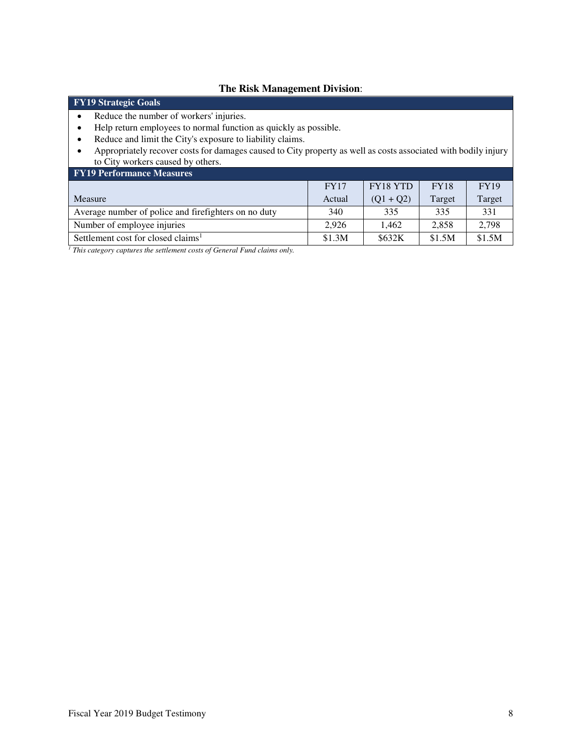### **The Risk Management Division**:

## **FY19 Strategic Goals**

- Reduce the number of workers' injuries.
- Help return employees to normal function as quickly as possible.
- Reduce and limit the City's exposure to liability claims.
- Appropriately recover costs for damages caused to City property as well as costs associated with bodily injury to City workers caused by others.

| <b>FY19 Performance Measures</b>                     |             |                 |             |             |  |  |  |  |  |
|------------------------------------------------------|-------------|-----------------|-------------|-------------|--|--|--|--|--|
|                                                      | <b>FY17</b> | <b>FY18 YTD</b> | <b>FY18</b> | <b>FY19</b> |  |  |  |  |  |
| Measure                                              | Actual      | $(Q1 + Q2)$     | Target      | Target      |  |  |  |  |  |
| Average number of police and firefighters on no duty | 340         | 335             | 335         | 331         |  |  |  |  |  |
| Number of employee injuries                          | 2.926       | 1.462           | 2.858       | 2,798       |  |  |  |  |  |
| Settlement cost for closed claims <sup>1</sup>       | \$1.3M      | \$632K          | \$1.5M      | \$1.5M      |  |  |  |  |  |

<sup>1</sup> This category captures the settlement costs of General Fund claims only.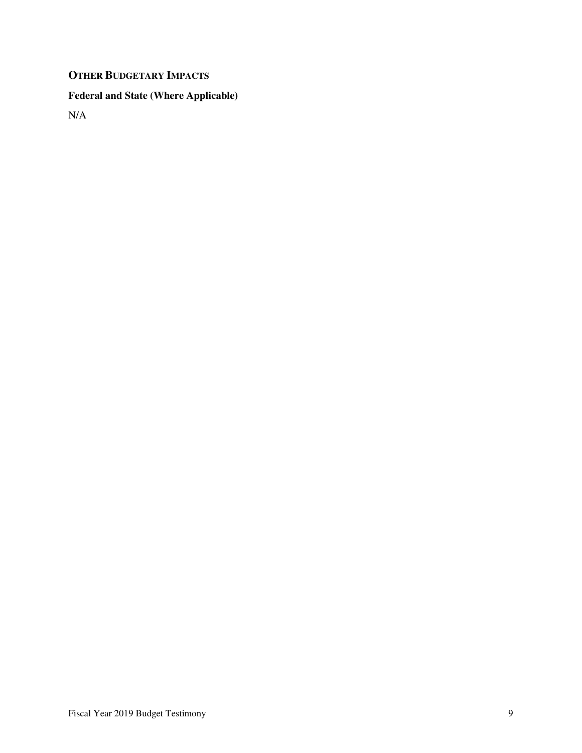# **OTHER BUDGETARY IMPACTS**

# **Federal and State (Where Applicable)**

N/A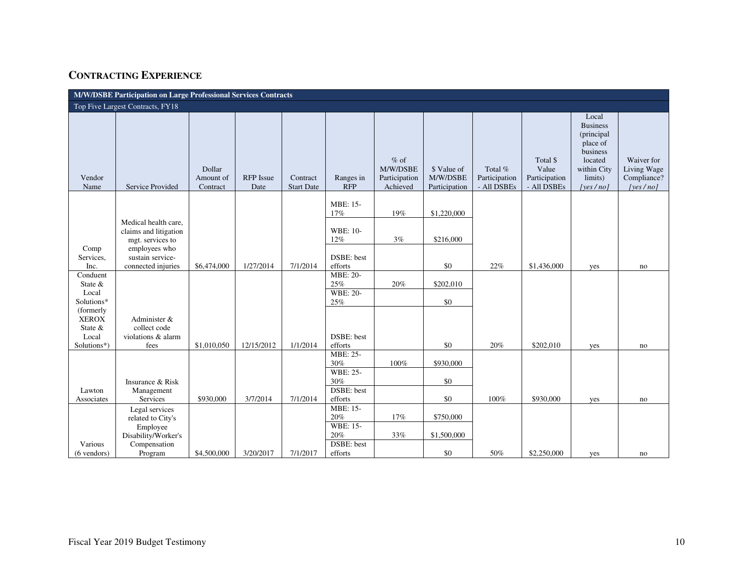# **CONTRACTING EXPERIENCE**

| M/W/DSBE Participation on Large Professional Services Contracts                                                 |                                                                                                                              |                                 |                          |                               |                                                                    |                                                 |                                          |                                         |                                                   |                                                                                                                     |                                                      |
|-----------------------------------------------------------------------------------------------------------------|------------------------------------------------------------------------------------------------------------------------------|---------------------------------|--------------------------|-------------------------------|--------------------------------------------------------------------|-------------------------------------------------|------------------------------------------|-----------------------------------------|---------------------------------------------------|---------------------------------------------------------------------------------------------------------------------|------------------------------------------------------|
|                                                                                                                 | Top Five Largest Contracts, FY18                                                                                             |                                 |                          |                               |                                                                    |                                                 |                                          |                                         |                                                   |                                                                                                                     |                                                      |
| Vendor<br>Name                                                                                                  | Service Provided                                                                                                             | Dollar<br>Amount of<br>Contract | <b>RFP</b> Issue<br>Date | Contract<br><b>Start Date</b> | Ranges in<br><b>RFP</b>                                            | $%$ of<br>M/W/DSBE<br>Participation<br>Achieved | \$ Value of<br>M/W/DSBE<br>Participation | Total %<br>Participation<br>- All DSBEs | Total \$<br>Value<br>Participation<br>- All DSBEs | Local<br><b>Business</b><br>(principal<br>place of<br>business<br>located<br>within City<br>limits)<br>[yes $/no$ ] | Waiver for<br>Living Wage<br>Compliance?<br>[yes/no] |
| Comp<br>Services,<br>Inc.                                                                                       | Medical health care,<br>claims and litigation<br>mgt. services to<br>employees who<br>sustain service-<br>connected injuries | \$6,474,000                     | 1/27/2014                | 7/1/2014                      | MBE: 15-<br>17%<br><b>WBE: 10-</b><br>12%<br>DSBE: best<br>efforts | 19%<br>3%                                       | \$1,220,000<br>\$216,000<br>\$0          | 22%                                     | \$1,436,000                                       | yes                                                                                                                 | no                                                   |
| Conduent<br>State $&$<br>Local<br>Solutions*<br>(formerly)<br><b>XEROX</b><br>State $&$<br>Local<br>Solutions*) | Administer &<br>collect code<br>violations & alarm<br>fees                                                                   | \$1,010,050                     | 12/15/2012               | 1/1/2014                      | MBE: 20-<br>25%<br><b>WBE: 20-</b><br>25%<br>DSBE: best<br>efforts | 20%                                             | \$202,010<br>\$0<br>\$0                  | 20%                                     | \$202,010                                         | yes                                                                                                                 | no                                                   |
| Lawton<br>Associates                                                                                            | Insurance & Risk<br>Management<br>Services                                                                                   | \$930,000                       | 3/7/2014                 | 7/1/2014                      | MBE: 25-<br>30%<br><b>WBE: 25-</b><br>30%<br>DSBE: best<br>efforts | 100%                                            | \$930,000<br>\$0<br>\$0                  | 100%                                    | \$930,000                                         | yes                                                                                                                 | no                                                   |
| Various<br>$(6$ vendors)                                                                                        | Legal services<br>related to City's<br>Employee<br>Disability/Worker's<br>Compensation<br>Program                            | \$4,500,000                     | 3/20/2017                | 7/1/2017                      | MBE: 15-<br>20%<br><b>WBE: 15-</b><br>20%<br>DSBE: best<br>efforts | 17%<br>33%                                      | \$750,000<br>\$1,500,000<br>\$0          | 50%                                     | \$2,250,000                                       | yes                                                                                                                 | no                                                   |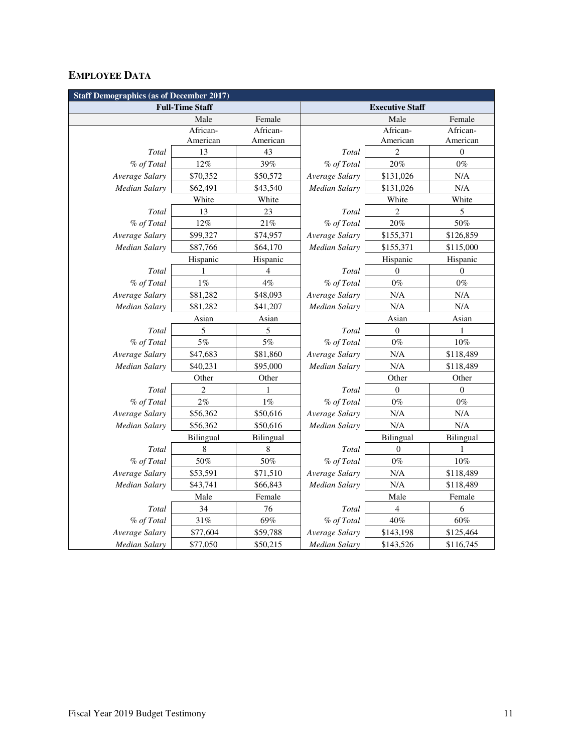# **EMPLOYEE DATA**

| <b>Staff Demographics (as of December 2017)</b> |                |           |                        |                  |                  |
|-------------------------------------------------|----------------|-----------|------------------------|------------------|------------------|
| <b>Full-Time Staff</b>                          |                |           | <b>Executive Staff</b> |                  |                  |
|                                                 | Male           | Female    |                        | Male             | Female           |
|                                                 | African-       | African-  |                        | African-         | African-         |
|                                                 | American       | American  |                        | American         | American         |
| Total                                           | 13             | 43        | Total                  | 2                | $\boldsymbol{0}$ |
| % of Total                                      | $12\%$         | 39%       | % of Total             | 20%              | $0\%$            |
| Average Salary                                  | \$70,352       | \$50,572  | Average Salary         | \$131,026        | N/A              |
| <b>Median Salary</b>                            | \$62,491       | \$43,540  | <b>Median Salary</b>   | \$131,026        | N/A              |
|                                                 | White          | White     |                        | White            | White            |
| Total                                           | 13             | 23        | Total                  | $\overline{2}$   | 5                |
| % of Total                                      | $12\%$         | 21%       | % of Total             | 20%              | 50%              |
| Average Salary                                  | \$99,327       | \$74,957  | Average Salary         | \$155,371        | \$126,859        |
| Median Salary                                   | \$87,766       | \$64,170  | <b>Median Salary</b>   | \$155,371        | \$115,000        |
|                                                 | Hispanic       | Hispanic  |                        | Hispanic         | Hispanic         |
| Total                                           | 1              | 4         | Total                  | $\boldsymbol{0}$ | $\boldsymbol{0}$ |
| % of Total                                      | $1\%$          | 4%        | % of Total             | $0\%$            | $0\%$            |
| Average Salary                                  | \$81,282       | \$48,093  | Average Salary         | N/A              | N/A              |
| Median Salary                                   | \$81,282       | \$41,207  | <b>Median Salary</b>   | N/A              | $\rm N/A$        |
|                                                 | Asian          | Asian     |                        | Asian            | Asian            |
| Total                                           | 5              | 5         | Total                  | $\boldsymbol{0}$ | 1                |
| % of Total                                      | 5%             | 5%        | % of Total             | $0\%$            | $10\%$           |
| Average Salary                                  | \$47,683       | \$81,860  | Average Salary         | N/A              | \$118,489        |
| <b>Median Salary</b>                            | \$40,231       | \$95,000  | <b>Median Salary</b>   | N/A              | \$118,489        |
|                                                 | Other          | Other     |                        | Other            | Other            |
| Total                                           | $\overline{2}$ | 1         | Total                  | $\mathbf{0}$     | $\mathbf{0}$     |
| % of Total                                      | 2%             | $1\%$     | % of Total             | $0\%$            | $0\%$            |
| Average Salary                                  | \$56,362       | \$50,616  | Average Salary         | N/A              | N/A              |
| Median Salary                                   | \$56,362       | \$50,616  | <b>Median Salary</b>   | N/A              | $\rm N/A$        |
|                                                 | Bilingual      | Bilingual |                        | Bilingual        | Bilingual        |
| Total                                           | 8              | 8         | Total                  | 0                | 1                |
| % of Total                                      | $50\%$         | $50\%$    | % of Total             | $0\%$            | $10\%$           |
| Average Salary                                  | \$53,591       | \$71,510  | Average Salary         | N/A              | \$118,489        |
| <b>Median Salary</b>                            | \$43,741       | \$66,843  | <b>Median Salary</b>   | N/A              | \$118,489        |
|                                                 | Male           | Female    |                        | Male             | Female           |
| Total                                           | 34             | 76        | Total                  | 4                | 6                |
| % of Total                                      | $31\%$         | 69%       | % of Total             | $40\%$           | $60\%$           |
| Average Salary                                  | \$77,604       | \$59,788  | Average Salary         | \$143,198        | \$125,464        |
| <b>Median Salary</b>                            | \$77,050       | \$50,215  | <b>Median Salary</b>   | \$143,526        | \$116,745        |